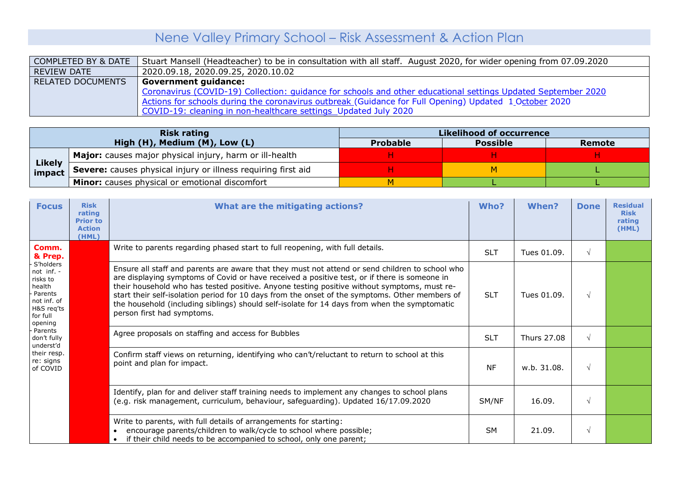## Nene Valley Primary School – Risk Assessment & Action Plan

|                          | COMPLETED BY & DATE   Stuart Mansell (Headteacher) to be in consultation with all staff. August 2020, for wider opening from 07.09.2020 |
|--------------------------|-----------------------------------------------------------------------------------------------------------------------------------------|
| REVIEW DATE              | 2020.09.18, 2020.09.25, 2020.10.02                                                                                                      |
| <b>RELATED DOCUMENTS</b> | <sup>1</sup> Government guidance:                                                                                                       |
|                          | Coronavirus (COVID-19) Collection: quidance for schools and other educational settings Updated September 2020                           |
|                          | Actions for schools during the coronavirus outbreak (Guidance for Full Opening) Updated 1 October 2020                                  |
|                          | COVID-19: cleaning in non-healthcare settings Updated July 2020                                                                         |

|                         | <b>Risk rating</b>                                            | <b>Likelihood of occurrence</b> |                 |        |  |  |  |
|-------------------------|---------------------------------------------------------------|---------------------------------|-----------------|--------|--|--|--|
|                         | High (H), Medium (M), Low (L)                                 | <b>Probable</b>                 | <b>Possible</b> | Remote |  |  |  |
|                         | Major: causes major physical injury, harm or ill-health       |                                 |                 |        |  |  |  |
| <b>Likely</b><br>impact | Severe: causes physical injury or illness requiring first aid |                                 |                 |        |  |  |  |
|                         | Minor: causes physical or emotional discomfort                |                                 |                 |        |  |  |  |

| <b>Focus</b>                                                                                                 | <b>Risk</b><br>rating<br><b>Prior to</b><br><b>Action</b><br>(HML) | What are the mitigating actions?                                                                                                                                                                                                                                                                                                                                                                                                                                                                                               | Who?       | When?       | <b>Done</b> | <b>Residual</b><br><b>Risk</b><br>rating<br>(HML) |
|--------------------------------------------------------------------------------------------------------------|--------------------------------------------------------------------|--------------------------------------------------------------------------------------------------------------------------------------------------------------------------------------------------------------------------------------------------------------------------------------------------------------------------------------------------------------------------------------------------------------------------------------------------------------------------------------------------------------------------------|------------|-------------|-------------|---------------------------------------------------|
| Comm.<br>& Prep.                                                                                             |                                                                    | Write to parents regarding phased start to full reopening, with full details.                                                                                                                                                                                                                                                                                                                                                                                                                                                  | <b>SLT</b> | Tues 01.09. | $\sqrt{ }$  |                                                   |
| S'holders<br>not inf. -<br>risks to<br>health<br>Parents<br>not inf. of<br>H&S req'ts<br>for full<br>opening |                                                                    | Ensure all staff and parents are aware that they must not attend or send children to school who<br>are displaying symptoms of Covid or have received a positive test, or if there is someone in<br>their household who has tested positive. Anyone testing positive without symptoms, must re-<br>start their self-isolation period for 10 days from the onset of the symptoms. Other members of<br>the household (including siblings) should self-isolate for 14 days from when the symptomatic<br>person first had symptoms. | <b>SLT</b> | Tues 01.09. | $\sqrt{ }$  |                                                   |
| Parents<br>don't fully<br>underst'd                                                                          |                                                                    | Agree proposals on staffing and access for Bubbles                                                                                                                                                                                                                                                                                                                                                                                                                                                                             | <b>SLT</b> | Thurs 27.08 | $\sqrt{ }$  |                                                   |
| their resp.<br>re: signs<br>of COVID                                                                         |                                                                    | Confirm staff views on returning, identifying who can't/reluctant to return to school at this<br>point and plan for impact.                                                                                                                                                                                                                                                                                                                                                                                                    | <b>NF</b>  | w.b. 31.08. | $\sqrt{ }$  |                                                   |
|                                                                                                              |                                                                    | Identify, plan for and deliver staff training needs to implement any changes to school plans<br>(e.g. risk management, curriculum, behaviour, safeguarding). Updated 16/17.09.2020                                                                                                                                                                                                                                                                                                                                             | SM/NF      | 16.09.      | $\sqrt{ }$  |                                                   |
|                                                                                                              |                                                                    | Write to parents, with full details of arrangements for starting:<br>encourage parents/children to walk/cycle to school where possible;<br>$\bullet$<br>if their child needs to be accompanied to school, only one parent;                                                                                                                                                                                                                                                                                                     | <b>SM</b>  | 21.09.      | $\sqrt{ }$  |                                                   |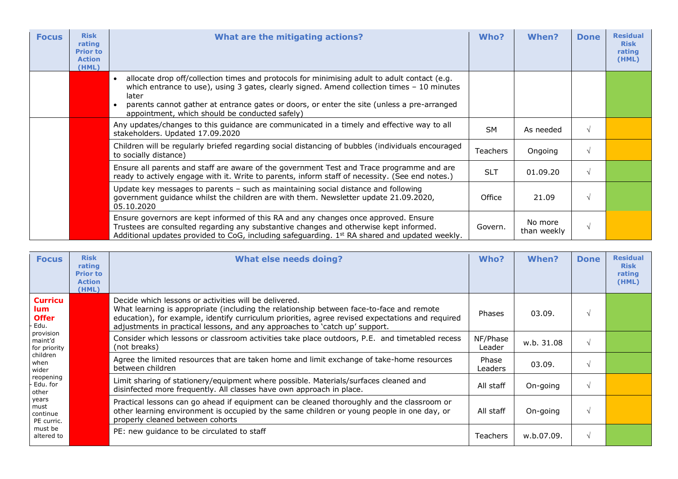| <b>Focus</b> | <b>Risk</b><br>rating<br><b>Prior to</b><br><b>Action</b><br>(HML) | What are the mitigating actions?                                                                                                                                                                                                                                                                                                                     | Who?            | When?                  | <b>Done</b> | <b>Residual</b><br><b>Risk</b><br>rating<br>(HML) |
|--------------|--------------------------------------------------------------------|------------------------------------------------------------------------------------------------------------------------------------------------------------------------------------------------------------------------------------------------------------------------------------------------------------------------------------------------------|-----------------|------------------------|-------------|---------------------------------------------------|
|              |                                                                    | allocate drop off/collection times and protocols for minimising adult to adult contact (e.g.<br>which entrance to use), using 3 gates, clearly signed. Amend collection times $-10$ minutes<br>later<br>parents cannot gather at entrance gates or doors, or enter the site (unless a pre-arranged<br>appointment, which should be conducted safely) |                 |                        |             |                                                   |
|              |                                                                    | Any updates/changes to this guidance are communicated in a timely and effective way to all<br>stakeholders. Updated 17.09.2020                                                                                                                                                                                                                       | <b>SM</b>       | As needed              |             |                                                   |
|              |                                                                    | Children will be regularly briefed regarding social distancing of bubbles (individuals encouraged<br>to socially distance)                                                                                                                                                                                                                           | <b>Teachers</b> | Ongoing                |             |                                                   |
|              |                                                                    | Ensure all parents and staff are aware of the government Test and Trace programme and are<br>ready to actively engage with it. Write to parents, inform staff of necessity. (See end notes.)                                                                                                                                                         | <b>SLT</b>      | 01.09.20               |             |                                                   |
|              |                                                                    | Update key messages to parents - such as maintaining social distance and following<br>government guidance whilst the children are with them. Newsletter update 21.09.2020,<br>05.10.2020                                                                                                                                                             | Office          | 21.09                  |             |                                                   |
|              |                                                                    | Ensure governors are kept informed of this RA and any changes once approved. Ensure<br>Trustees are consulted regarding any substantive changes and otherwise kept informed.<br>Additional updates provided to CoG, including safeguarding. $1st RA$ shared and updated weekly.                                                                      | Govern.         | No more<br>than weekly | V           |                                                   |

| <b>Focus</b>                                  | <b>Risk</b><br>rating<br><b>Prior to</b><br><b>Action</b><br>(HML) | <b>What else needs doing?</b>                                                                                                                                                                                                                                                                                                        | Who?               | When?      | <b>Done</b> | <b>Residual</b><br><b>Risk</b><br>rating<br>(HML) |
|-----------------------------------------------|--------------------------------------------------------------------|--------------------------------------------------------------------------------------------------------------------------------------------------------------------------------------------------------------------------------------------------------------------------------------------------------------------------------------|--------------------|------------|-------------|---------------------------------------------------|
| <b>Curricu</b><br>lum<br><b>Offer</b><br>Edu. |                                                                    | Decide which lessons or activities will be delivered.<br>What learning is appropriate (including the relationship between face-to-face and remote<br>education), for example, identify curriculum priorities, agree revised expectations and required<br>adjustments in practical lessons, and any approaches to 'catch up' support. | Phases             | 03.09.     |             |                                                   |
| provision<br>maint'd<br>for priority          |                                                                    | Consider which lessons or classroom activities take place outdoors, P.E. and timetabled recess<br>(not breaks)                                                                                                                                                                                                                       | NF/Phase<br>Leader | w.b. 31.08 |             |                                                   |
| children<br>when<br>wider                     |                                                                    | Agree the limited resources that are taken home and limit exchange of take-home resources<br>between children                                                                                                                                                                                                                        | Phase<br>Leaders   | 03.09.     |             |                                                   |
| reopening<br>Edu. for<br>other                |                                                                    | Limit sharing of stationery/equipment where possible. Materials/surfaces cleaned and<br>disinfected more frequently. All classes have own approach in place.                                                                                                                                                                         | All staff          | On-going   |             |                                                   |
| years<br>must<br>continue<br>PE curric.       |                                                                    | Practical lessons can go ahead if equipment can be cleaned thoroughly and the classroom or<br>other learning environment is occupied by the same children or young people in one day, or<br>properly cleaned between cohorts                                                                                                         | All staff          | On-going   |             |                                                   |
| must be<br>altered to                         |                                                                    | PE: new guidance to be circulated to staff                                                                                                                                                                                                                                                                                           | <b>Teachers</b>    | w.b.07.09. |             |                                                   |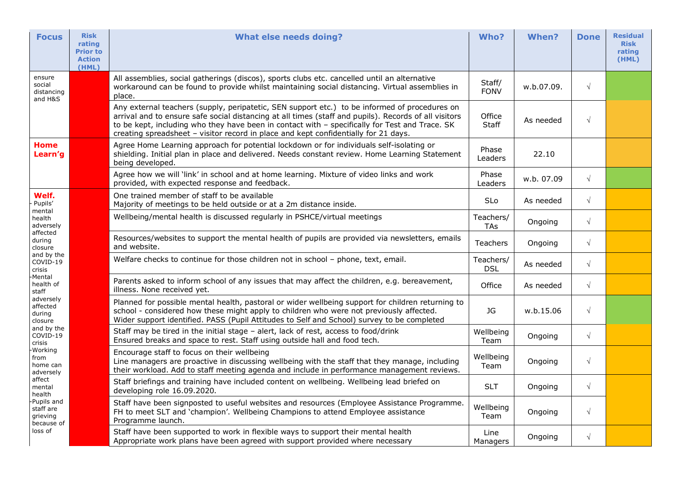| <b>Focus</b>                                      | <b>Risk</b><br>rating<br><b>Prior to</b><br><b>Action</b><br>(HML) | <b>What else needs doing?</b>                                                                                                                                                                                                                                                                                                                                                                   | Who?                    | <b>When?</b> | <b>Done</b> | <b>Residual</b><br><b>Risk</b><br>rating<br>(HML) |
|---------------------------------------------------|--------------------------------------------------------------------|-------------------------------------------------------------------------------------------------------------------------------------------------------------------------------------------------------------------------------------------------------------------------------------------------------------------------------------------------------------------------------------------------|-------------------------|--------------|-------------|---------------------------------------------------|
| ensure<br>social<br>distancing<br>and H&S         |                                                                    | All assemblies, social gatherings (discos), sports clubs etc. cancelled until an alternative<br>workaround can be found to provide whilst maintaining social distancing. Virtual assemblies in<br>place.                                                                                                                                                                                        | Staff/<br><b>FONV</b>   | w.b.07.09.   | $\sqrt{}$   |                                                   |
|                                                   |                                                                    | Any external teachers (supply, peripatetic, SEN support etc.) to be informed of procedures on<br>arrival and to ensure safe social distancing at all times (staff and pupils). Records of all visitors<br>to be kept, including who they have been in contact with - specifically for Test and Trace. SK<br>creating spreadsheet - visitor record in place and kept confidentially for 21 days. | Office<br><b>Staff</b>  | As needed    | $\sqrt{}$   |                                                   |
| <b>Home</b><br>Learn'g                            |                                                                    | Agree Home Learning approach for potential lockdown or for individuals self-isolating or<br>shielding. Initial plan in place and delivered. Needs constant review. Home Learning Statement<br>being developed.                                                                                                                                                                                  | Phase<br>Leaders        | 22.10        |             |                                                   |
|                                                   |                                                                    | Agree how we will 'link' in school and at home learning. Mixture of video links and work<br>provided, with expected response and feedback.                                                                                                                                                                                                                                                      | Phase<br>Leaders        | w.b. 07.09   | $\sqrt{ }$  |                                                   |
| Welf.<br>Pupils'                                  |                                                                    | One trained member of staff to be available<br>Majority of meetings to be held outside or at a 2m distance inside.                                                                                                                                                                                                                                                                              | <b>SLo</b>              | As needed    | $\sqrt{}$   |                                                   |
| mental<br>health<br>adversely                     |                                                                    | Wellbeing/mental health is discussed regularly in PSHCE/virtual meetings                                                                                                                                                                                                                                                                                                                        | Teachers/<br><b>TAs</b> | Ongoing      | $\sqrt{}$   |                                                   |
| affected<br>during<br>closure                     |                                                                    | Resources/websites to support the mental health of pupils are provided via newsletters, emails<br>and website.                                                                                                                                                                                                                                                                                  | <b>Teachers</b>         | Ongoing      | $\sqrt{}$   |                                                   |
| and by the<br>COVID-19<br>crisis                  |                                                                    | Welfare checks to continue for those children not in school - phone, text, email.                                                                                                                                                                                                                                                                                                               | Teachers/<br><b>DSL</b> | As needed    | $\sqrt{}$   |                                                   |
| Mental<br>health of<br>staff                      |                                                                    | Parents asked to inform school of any issues that may affect the children, e.g. bereavement,<br>illness. None received yet.                                                                                                                                                                                                                                                                     | Office                  | As needed    | $\sqrt{}$   |                                                   |
| adversely<br>affected<br>during<br>closure        |                                                                    | Planned for possible mental health, pastoral or wider wellbeing support for children returning to<br>school - considered how these might apply to children who were not previously affected.<br>Wider support identified. PASS (Pupil Attitudes to Self and School) survey to be completed                                                                                                      | <b>JG</b>               | w.b.15.06    | $\sqrt{}$   |                                                   |
| and by the<br>COVID-19<br>crisis                  |                                                                    | Staff may be tired in the initial stage - alert, lack of rest, access to food/drink<br>Ensured breaks and space to rest. Staff using outside hall and food tech.                                                                                                                                                                                                                                | Wellbeing<br>Team       | Ongoing      | $\sqrt{ }$  |                                                   |
| -Working<br>from<br>home can<br>adversely         |                                                                    | Encourage staff to focus on their wellbeing<br>Line managers are proactive in discussing wellbeing with the staff that they manage, including<br>their workload. Add to staff meeting agenda and include in performance management reviews.                                                                                                                                                     | Wellbeing<br>Team       | Ongoing      | $\sqrt{}$   |                                                   |
| affect<br>mental<br>health                        |                                                                    | Staff briefings and training have included content on wellbeing. Wellbeing lead briefed on<br>developing role 16.09.2020.                                                                                                                                                                                                                                                                       | <b>SLT</b>              | Ongoing      | $\sqrt{}$   |                                                   |
| Pupils and<br>staff are<br>grieving<br>because of |                                                                    | Staff have been signposted to useful websites and resources (Employee Assistance Programme.<br>FH to meet SLT and 'champion'. Wellbeing Champions to attend Employee assistance<br>Programme launch.                                                                                                                                                                                            | Wellbeing<br>Team       | Ongoing      | $\sqrt{}$   |                                                   |
| loss of                                           |                                                                    | Staff have been supported to work in flexible ways to support their mental health<br>Appropriate work plans have been agreed with support provided where necessary                                                                                                                                                                                                                              | Line<br>Managers        | Ongoing      | $\sqrt{}$   |                                                   |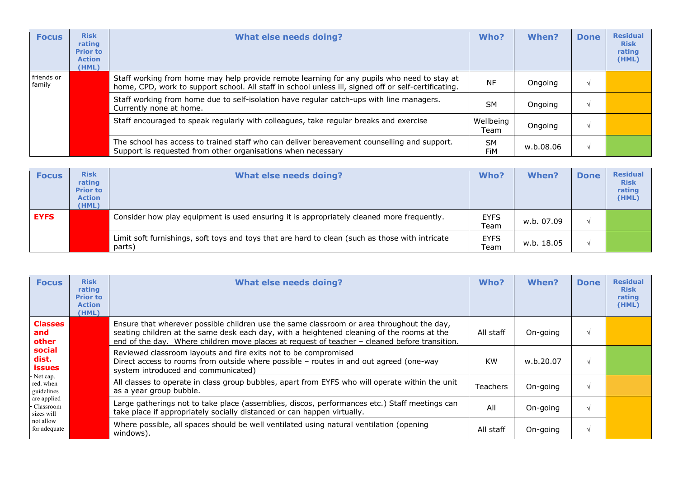| <b>Focus</b>         | <b>Risk</b><br>rating<br><b>Prior to</b><br><b>Action</b><br>(HML) | <b>What else needs doing?</b>                                                                                                                                                                       | Who?              | <b>When?</b> | <b>Done</b> | <b>Residual</b><br><b>Risk</b><br>rating<br>(HML) |
|----------------------|--------------------------------------------------------------------|-----------------------------------------------------------------------------------------------------------------------------------------------------------------------------------------------------|-------------------|--------------|-------------|---------------------------------------------------|
| friends or<br>family |                                                                    | Staff working from home may help provide remote learning for any pupils who need to stay at<br>home, CPD, work to support school. All staff in school unless ill, signed off or self-certificating. | <b>NF</b>         | Ongoing      |             |                                                   |
|                      |                                                                    | Staff working from home due to self-isolation have regular catch-ups with line managers.<br>Currently none at home.                                                                                 | <b>SM</b>         | Ongoing      |             |                                                   |
|                      |                                                                    | Staff encouraged to speak regularly with colleagues, take regular breaks and exercise                                                                                                               | Wellbeing<br>Team | Ongoing      |             |                                                   |
|                      |                                                                    | The school has access to trained staff who can deliver bereavement counselling and support.<br>Support is requested from other organisations when necessary                                         | <b>SM</b><br>FiM  | w.b.08.06    |             |                                                   |

| <b>Focus</b> | <b>Risk</b><br>rating<br><b>Prior to</b><br><b>Action</b><br>(HML) | <b>What else needs doing?</b>                                                                             | Who?                      | <b>When?</b> | <b>Done</b> | <b>Residual</b><br><b>Risk</b><br>rating<br>(HML) |
|--------------|--------------------------------------------------------------------|-----------------------------------------------------------------------------------------------------------|---------------------------|--------------|-------------|---------------------------------------------------|
| <b>EYFS</b>  |                                                                    | Consider how play equipment is used ensuring it is appropriately cleaned more frequently.                 | <b>EYFS</b><br>$\tau$ eam | w.b. 07.09   |             |                                                   |
|              |                                                                    | Limit soft furnishings, soft toys and toys that are hard to clean (such as those with intricate<br>parts) | <b>EYFS</b><br>$\tau$ eam | w.b. 18.05   |             |                                                   |

| <b>Focus</b>                             | <b>Risk</b><br>rating<br><b>Prior to</b><br><b>Action</b><br>(HML) | <b>What else needs doing?</b>                                                                                                                                                                                                                                                            | Who?      | When?     | <b>Done</b> | <b>Residual</b><br><b>Risk</b><br>rating<br>(HML) |
|------------------------------------------|--------------------------------------------------------------------|------------------------------------------------------------------------------------------------------------------------------------------------------------------------------------------------------------------------------------------------------------------------------------------|-----------|-----------|-------------|---------------------------------------------------|
| <b>Classes</b><br>and<br>other           |                                                                    | Ensure that wherever possible children use the same classroom or area throughout the day,<br>seating children at the same desk each day, with a heightened cleaning of the rooms at the<br>end of the day. Where children move places at request of teacher - cleaned before transition. | All staff | On-going  |             |                                                   |
| social<br>dist.<br><b>issues</b>         |                                                                    | Reviewed classroom layouts and fire exits not to be compromised<br>Direct access to rooms from outside where possible - routes in and out agreed (one-way<br>system introduced and communicated)                                                                                         | <b>KW</b> | w.b.20.07 |             |                                                   |
| Net cap.<br>red. when<br>guidelines      |                                                                    | All classes to operate in class group bubbles, apart from EYFS who will operate within the unit<br>as a year group bubble.                                                                                                                                                               | Teachers  | On-going  |             |                                                   |
| are applied<br>- Classroom<br>sizes will |                                                                    | Large gatherings not to take place (assemblies, discos, performances etc.) Staff meetings can<br>take place if appropriately socially distanced or can happen virtually.                                                                                                                 | All       | On-going  |             |                                                   |
| not allow<br>for adequate                |                                                                    | Where possible, all spaces should be well ventilated using natural ventilation (opening<br>windows).                                                                                                                                                                                     | All staff | On-going  |             |                                                   |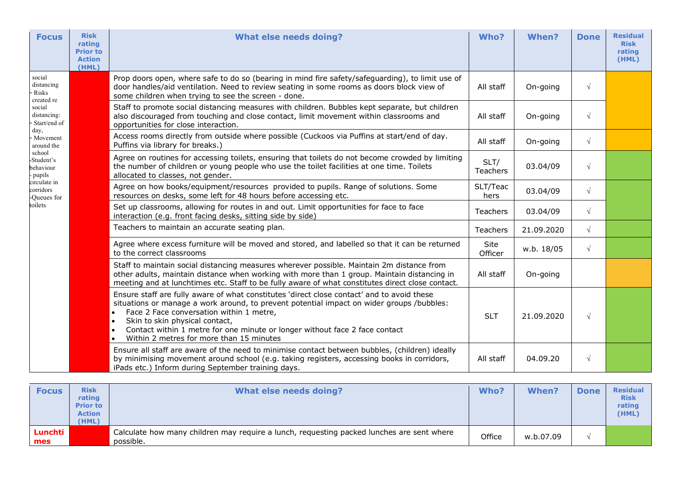| <b>Focus</b>                                  | <b>Risk</b><br>rating<br><b>Prior to</b><br><b>Action</b><br>(HML) | <b>What else needs doing?</b>                                                                                                                                                                                                                                                                                                                                                                                                           | Who?                    | When?      | <b>Done</b> | <b>Residual</b><br><b>Risk</b><br>rating<br>(HML) |
|-----------------------------------------------|--------------------------------------------------------------------|-----------------------------------------------------------------------------------------------------------------------------------------------------------------------------------------------------------------------------------------------------------------------------------------------------------------------------------------------------------------------------------------------------------------------------------------|-------------------------|------------|-------------|---------------------------------------------------|
| social<br>distancing<br>Risks<br>created re   |                                                                    | Prop doors open, where safe to do so (bearing in mind fire safety/safeguarding), to limit use of<br>door handles/aid ventilation. Need to review seating in some rooms as doors block view of<br>some children when trying to see the screen - done.                                                                                                                                                                                    | All staff               | On-going   | $\sqrt{ }$  |                                                   |
| social<br>distancing:<br>Start/end of         |                                                                    | Staff to promote social distancing measures with children. Bubbles kept separate, but children<br>also discouraged from touching and close contact, limit movement within classrooms and<br>opportunities for close interaction.                                                                                                                                                                                                        | All staff               | On-going   | $\sqrt{ }$  |                                                   |
| day,<br>- Movement<br>around the              |                                                                    | Access rooms directly from outside where possible (Cuckoos via Puffins at start/end of day.<br>Puffins via library for breaks.)                                                                                                                                                                                                                                                                                                         | All staff               | On-going   | $\sqrt{ }$  |                                                   |
| school<br>-Student's<br>behaviour<br>- pupils |                                                                    | Agree on routines for accessing toilets, ensuring that toilets do not become crowded by limiting<br>the number of children or young people who use the toilet facilities at one time. Toilets<br>allocated to classes, not gender.                                                                                                                                                                                                      | SLT/<br><b>Teachers</b> | 03.04/09   | $\sqrt{ }$  |                                                   |
| circulate in<br>corridors<br>-Queues for      |                                                                    | Agree on how books/equipment/resources provided to pupils. Range of solutions. Some<br>resources on desks, some left for 48 hours before accessing etc.                                                                                                                                                                                                                                                                                 | SLT/Teac<br>hers        | 03.04/09   | $\sqrt{ }$  |                                                   |
| toilets                                       |                                                                    | Set up classrooms, allowing for routes in and out. Limit opportunities for face to face<br>interaction (e.g. front facing desks, sitting side by side)                                                                                                                                                                                                                                                                                  | <b>Teachers</b>         | 03.04/09   | $\sqrt{ }$  |                                                   |
|                                               |                                                                    | Teachers to maintain an accurate seating plan.                                                                                                                                                                                                                                                                                                                                                                                          | Teachers                | 21.09.2020 | $\sqrt{ }$  |                                                   |
|                                               |                                                                    | Agree where excess furniture will be moved and stored, and labelled so that it can be returned<br>to the correct classrooms                                                                                                                                                                                                                                                                                                             | Site<br>Officer         | w.b. 18/05 | $\sqrt{ }$  |                                                   |
|                                               |                                                                    | Staff to maintain social distancing measures wherever possible. Maintain 2m distance from<br>other adults, maintain distance when working with more than 1 group. Maintain distancing in<br>meeting and at lunchtimes etc. Staff to be fully aware of what constitutes direct close contact.                                                                                                                                            | All staff               | On-going   |             |                                                   |
|                                               |                                                                    | Ensure staff are fully aware of what constitutes 'direct close contact' and to avoid these<br>situations or manage a work around, to prevent potential impact on wider groups /bubbles:<br>Face 2 Face conversation within 1 metre,<br>$\bullet$<br>Skin to skin physical contact,<br>$\bullet$<br>Contact within 1 metre for one minute or longer without face 2 face contact<br>Within 2 metres for more than 15 minutes<br>$\bullet$ | <b>SLT</b>              | 21.09.2020 | $\sqrt{ }$  |                                                   |
|                                               |                                                                    | Ensure all staff are aware of the need to minimise contact between bubbles, (children) ideally<br>by minimising movement around school (e.g. taking registers, accessing books in corridors,<br>iPads etc.) Inform during September training days.                                                                                                                                                                                      | All staff               | 04.09.20   | $\sqrt{ }$  |                                                   |

| <b>Focus</b>   | <b>Risk</b><br>rating<br><b>Prior to</b><br><b>Action</b><br>(HML) | What else needs doing?                                                                                 | Who?   | <b>When?</b> | <b>Done</b> | <b>Residual</b><br><b>Risk</b><br>rating<br>(HML) |
|----------------|--------------------------------------------------------------------|--------------------------------------------------------------------------------------------------------|--------|--------------|-------------|---------------------------------------------------|
| Lunchti<br>mes |                                                                    | Calculate how many children may require a lunch, requesting packed lunches are sent where<br>possible. | Office | w.b.07.09    |             |                                                   |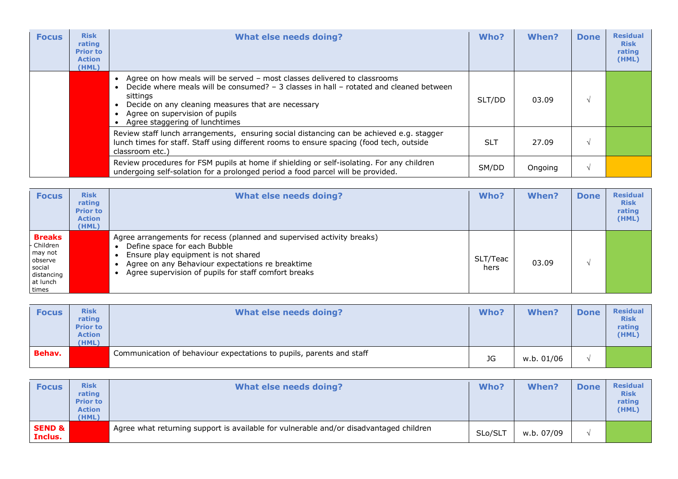| <b>Focus</b> | <b>Risk</b><br>rating<br><b>Prior to</b><br><b>Action</b><br>(HML) | <b>What else needs doing?</b>                                                                                                                                                                                                                                                                            | Who?       | When?   | <b>Done</b> | <b>Residual</b><br><b>Risk</b><br>rating<br>(HML) |
|--------------|--------------------------------------------------------------------|----------------------------------------------------------------------------------------------------------------------------------------------------------------------------------------------------------------------------------------------------------------------------------------------------------|------------|---------|-------------|---------------------------------------------------|
|              |                                                                    | Agree on how meals will be served - most classes delivered to classrooms<br>Decide where meals will be consumed? - 3 classes in hall - rotated and cleaned between<br>sittings<br>Decide on any cleaning measures that are necessary<br>Agree on supervision of pupils<br>Agree staggering of lunchtimes | SLT/DD     | 03.09   |             |                                                   |
|              |                                                                    | Review staff lunch arrangements, ensuring social distancing can be achieved e.g. stagger<br>lunch times for staff. Staff using different rooms to ensure spacing (food tech, outside<br>classroom etc.)                                                                                                  | <b>SLT</b> | 27.09   |             |                                                   |
|              |                                                                    | Review procedures for FSM pupils at home if shielding or self-isolating. For any children<br>undergoing self-solation for a prolonged period a food parcel will be provided.                                                                                                                             | SM/DD      | Ongoing |             |                                                   |

| <b>Focus</b>                                                                                   | <b>Risk</b><br>rating<br><b>Prior to</b><br><b>Action</b><br>(HML) | What else needs doing?                                                                                                                                                                                                                                    | Who?             | When? | <b>Done</b> | <b>Residual</b><br><b>Risk</b><br>rating<br>(HML) |
|------------------------------------------------------------------------------------------------|--------------------------------------------------------------------|-----------------------------------------------------------------------------------------------------------------------------------------------------------------------------------------------------------------------------------------------------------|------------------|-------|-------------|---------------------------------------------------|
| <b>Breaks</b><br>- Children<br>may not<br>observe<br>social<br>distancing<br>at lunch<br>times |                                                                    | Agree arrangements for recess (planned and supervised activity breaks)<br>Define space for each Bubble<br>Ensure play equipment is not shared<br>Agree on any Behaviour expectations re breaktime<br>Agree supervision of pupils for staff comfort breaks | SLT/Teac<br>hers | 03.09 |             |                                                   |

| <b>Focus</b> | <b>Risk</b><br>rating<br><b>Prior to</b><br><b>Action</b><br>(HML) | <b>What else needs doing?</b>                                        | Who? | <b>When?</b> | <b>Done</b> | <b>Residual</b><br><b>Risk</b><br>rating<br>(HML) |
|--------------|--------------------------------------------------------------------|----------------------------------------------------------------------|------|--------------|-------------|---------------------------------------------------|
| Behav.       |                                                                    | Communication of behaviour expectations to pupils, parents and staff | JG   | w.b. 01/06   |             |                                                   |

| <b>Focus</b>                 | <b>Risk</b><br>rating<br><b>Prior to</b><br><b>Action</b><br>(HML) | What else needs doing?                                                                 | Who?    | <b>When?</b> | <b>Done</b> | <b>Residual</b><br><b>Risk</b><br>rating<br>(HML) |
|------------------------------|--------------------------------------------------------------------|----------------------------------------------------------------------------------------|---------|--------------|-------------|---------------------------------------------------|
| <b>SEND &amp;</b><br>Inclus. |                                                                    | Agree what returning support is available for vulnerable and/or disadvantaged children | SLo/SLT | w.b. 07/09   |             |                                                   |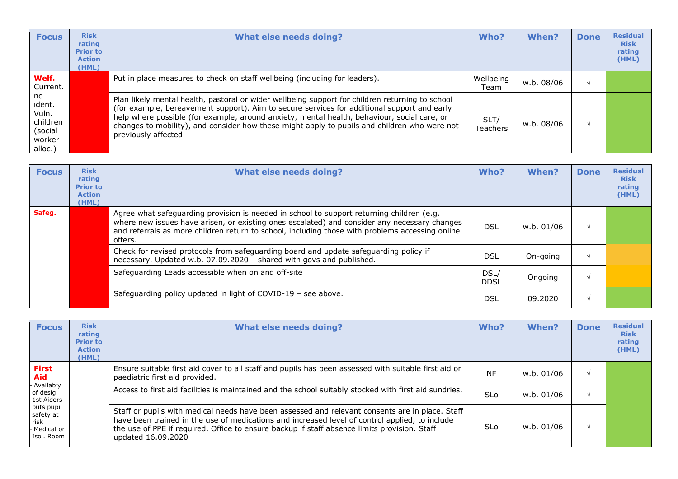| <b>Focus</b>                                                      | <b>Risk</b><br>rating<br><b>Prior to</b><br><b>Action</b><br>(HML) | <b>What else needs doing?</b>                                                                                                                                                                                                                                                                                                                                                                                         | Who?              | When?      | <b>Done</b> | <b>Residual</b><br><b>Risk</b><br>rating<br>(HML) |
|-------------------------------------------------------------------|--------------------------------------------------------------------|-----------------------------------------------------------------------------------------------------------------------------------------------------------------------------------------------------------------------------------------------------------------------------------------------------------------------------------------------------------------------------------------------------------------------|-------------------|------------|-------------|---------------------------------------------------|
| Welf.<br>Current.                                                 |                                                                    | Put in place measures to check on staff wellbeing (including for leaders).                                                                                                                                                                                                                                                                                                                                            | Wellbeing<br>Team | w.b. 08/06 |             |                                                   |
| no<br>ident.<br>Vuln.<br>children<br>(social<br>worker<br>alloc.) |                                                                    | Plan likely mental health, pastoral or wider wellbeing support for children returning to school<br>(for example, bereavement support). Aim to secure services for additional support and early<br>help where possible (for example, around anxiety, mental health, behaviour, social care, or<br>changes to mobility), and consider how these might apply to pupils and children who were not<br>previously affected. | SLT/<br>Teachers  | w.b. 08/06 |             |                                                   |

| <b>Focus</b> | <b>Risk</b><br>rating<br><b>Prior to</b><br><b>Action</b><br>(HML) | <b>What else needs doing?</b>                                                                                                                                                                                                                                                                           | Who?                | When?      | <b>Done</b> | <b>Residual</b><br><b>Risk</b><br>rating<br>(HML) |
|--------------|--------------------------------------------------------------------|---------------------------------------------------------------------------------------------------------------------------------------------------------------------------------------------------------------------------------------------------------------------------------------------------------|---------------------|------------|-------------|---------------------------------------------------|
| Safeg.       |                                                                    | Agree what safeguarding provision is needed in school to support returning children (e.g.<br>where new issues have arisen, or existing ones escalated) and consider any necessary changes<br>and referrals as more children return to school, including those with problems accessing online<br>offers. | <b>DSL</b>          | w.b. 01/06 |             |                                                   |
|              |                                                                    | Check for revised protocols from safeguarding board and update safeguarding policy if<br>necessary. Updated w.b. 07.09.2020 - shared with govs and published.                                                                                                                                           | <b>DSL</b>          | On-going   |             |                                                   |
|              |                                                                    | Safeguarding Leads accessible when on and off-site                                                                                                                                                                                                                                                      | DSL/<br><b>DDSL</b> | Ongoing    |             |                                                   |
|              |                                                                    | Safeguarding policy updated in light of COVID-19 - see above.                                                                                                                                                                                                                                           | DSL                 | 09.2020    |             |                                                   |

| <b>Focus</b>                                                                                                              | <b>Risk</b><br>rating<br><b>Prior to</b><br><b>Action</b><br>(HML) | <b>What else needs doing?</b>                                                                                                                                                                                                                                                                                           | Who?       | When?      | <b>Done</b> | <b>Residual</b><br><b>Risk</b><br>rating<br>(HML) |
|---------------------------------------------------------------------------------------------------------------------------|--------------------------------------------------------------------|-------------------------------------------------------------------------------------------------------------------------------------------------------------------------------------------------------------------------------------------------------------------------------------------------------------------------|------------|------------|-------------|---------------------------------------------------|
| First<br>Aid<br>- Availab'y<br>of desig.<br>1st Aiders<br>puts pupil<br>safety at<br>risk<br>- Medical or<br>l Isol. Room |                                                                    | Ensure suitable first aid cover to all staff and pupils has been assessed with suitable first aid or<br>paediatric first aid provided.                                                                                                                                                                                  | <b>NF</b>  | w.b. 01/06 |             |                                                   |
|                                                                                                                           |                                                                    | Access to first aid facilities is maintained and the school suitably stocked with first aid sundries.                                                                                                                                                                                                                   | <b>SLo</b> | w.b. 01/06 |             |                                                   |
|                                                                                                                           |                                                                    | Staff or pupils with medical needs have been assessed and relevant consents are in place. Staff<br>have been trained in the use of medications and increased level of control applied, to include<br>the use of PPE if required. Office to ensure backup if staff absence limits provision. Staff<br>updated 16.09.2020 | <b>SLo</b> | w.b. 01/06 |             |                                                   |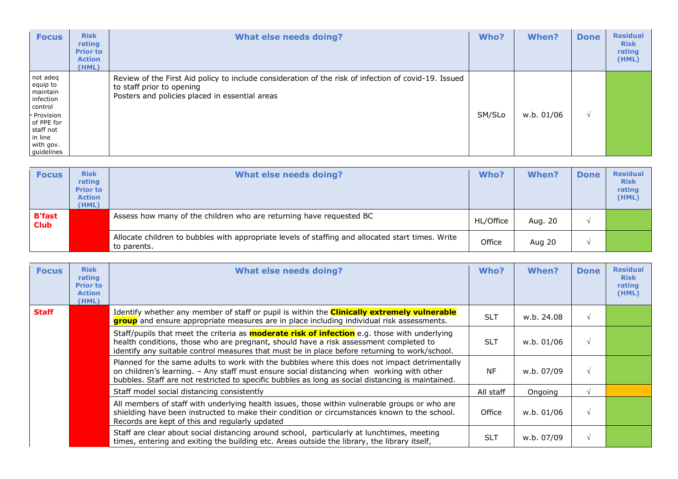| <b>Focus</b>                                                                                                                             | <b>Risk</b><br>rating<br><b>Prior to</b><br><b>Action</b><br>(HML) | <b>What else needs doing?</b>                                                                                                                                                       | Who?   | <b>When?</b> | <b>Done</b> | <b>Residual</b><br><b>Risk</b><br>rating<br>(HML) |
|------------------------------------------------------------------------------------------------------------------------------------------|--------------------------------------------------------------------|-------------------------------------------------------------------------------------------------------------------------------------------------------------------------------------|--------|--------------|-------------|---------------------------------------------------|
| not adeq<br>equip to<br>maintain<br>infection<br>control<br>- Provision<br>of PPE for<br>staff not<br>in line<br>with gov.<br>guidelines |                                                                    | Review of the First Aid policy to include consideration of the risk of infection of covid-19. Issued<br>to staff prior to opening<br>Posters and policies placed in essential areas | SM/SLo | w.b. 01/06   | $\Delta l$  |                                                   |

| <b>Focus</b>                 | <b>Risk</b><br>rating<br><b>Prior to</b><br><b>Action</b><br>(HML) | What else needs doing?                                                                                           | Who?      | <b>When?</b> | <b>Done</b> | <b>Residual</b><br><b>Risk</b><br>rating<br>(HML) |
|------------------------------|--------------------------------------------------------------------|------------------------------------------------------------------------------------------------------------------|-----------|--------------|-------------|---------------------------------------------------|
| <b>B'fast</b><br><b>Club</b> |                                                                    | Assess how many of the children who are returning have requested BC                                              | HL/Office | Aug. 20      |             |                                                   |
|                              |                                                                    | Allocate children to bubbles with appropriate levels of staffing and allocated start times. Write<br>to parents. | Office    | Aug 20       |             |                                                   |

| <b>Focus</b> | <b>Risk</b><br>rating<br><b>Prior to</b><br><b>Action</b><br>(HML) | What else needs doing?                                                                                                                                                                                                                                                                          | Who?       | When?      | <b>Done</b> | <b>Residual</b><br><b>Risk</b><br>rating<br>(HML) |
|--------------|--------------------------------------------------------------------|-------------------------------------------------------------------------------------------------------------------------------------------------------------------------------------------------------------------------------------------------------------------------------------------------|------------|------------|-------------|---------------------------------------------------|
| <b>Staff</b> |                                                                    | Identify whether any member of staff or pupil is within the <b>Clinically extremely vulnerable</b><br>group and ensure appropriate measures are in place including individual risk assessments.                                                                                                 | <b>SLT</b> | w.b. 24.08 | V           |                                                   |
|              |                                                                    | Staff/pupils that meet the criteria as <b>moderate risk of infection</b> e.g. those with underlying<br>health conditions, those who are pregnant, should have a risk assessment completed to<br>identify any suitable control measures that must be in place before returning to work/school.   | <b>SLT</b> | w.b. 01/06 |             |                                                   |
|              |                                                                    | Planned for the same adults to work with the bubbles where this does not impact detrimentally<br>on children's learning. - Any staff must ensure social distancing when working with other<br>bubbles. Staff are not restricted to specific bubbles as long as social distancing is maintained. | <b>NF</b>  | w.b. 07/09 |             |                                                   |
|              |                                                                    | Staff model social distancing consistently                                                                                                                                                                                                                                                      | All staff  | Ongoing    |             |                                                   |
|              |                                                                    | All members of staff with underlying health issues, those within vulnerable groups or who are<br>shielding have been instructed to make their condition or circumstances known to the school.<br>Records are kept of this and regularly updated                                                 | Office     | w.b. 01/06 |             |                                                   |
|              |                                                                    | Staff are clear about social distancing around school, particularly at lunchtimes, meeting<br>times, entering and exiting the building etc. Areas outside the library, the library itself,                                                                                                      | <b>SLT</b> | w.b. 07/09 | $\sqrt{ }$  |                                                   |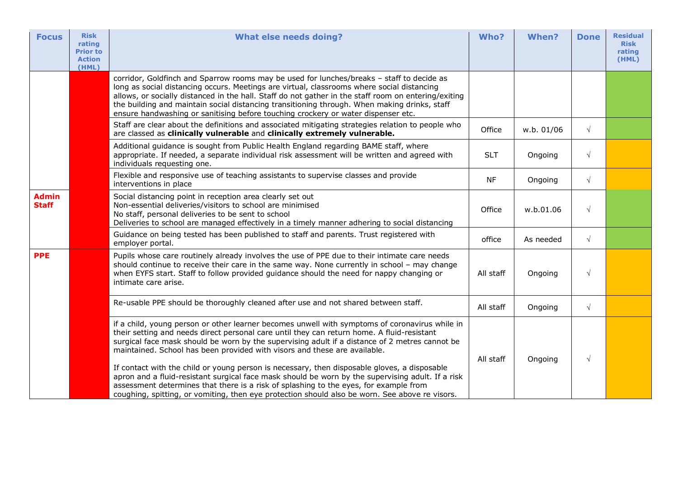| <b>Focus</b>                 | <b>Risk</b><br>rating<br><b>Prior to</b><br><b>Action</b><br>(HML) | <b>What else needs doing?</b>                                                                                                                                                                                                                                                                                                                                                                                                                                                                                                                                                                                                                                                                                                                                               | Who?       | When?      | <b>Done</b> | <b>Residual</b><br><b>Risk</b><br>rating<br>(HML) |
|------------------------------|--------------------------------------------------------------------|-----------------------------------------------------------------------------------------------------------------------------------------------------------------------------------------------------------------------------------------------------------------------------------------------------------------------------------------------------------------------------------------------------------------------------------------------------------------------------------------------------------------------------------------------------------------------------------------------------------------------------------------------------------------------------------------------------------------------------------------------------------------------------|------------|------------|-------------|---------------------------------------------------|
|                              |                                                                    | corridor, Goldfinch and Sparrow rooms may be used for lunches/breaks - staff to decide as<br>long as social distancing occurs. Meetings are virtual, classrooms where social distancing<br>allows, or socially distanced in the hall. Staff do not gather in the staff room on entering/exiting<br>the building and maintain social distancing transitioning through. When making drinks, staff<br>ensure handwashing or sanitising before touching crockery or water dispenser etc.                                                                                                                                                                                                                                                                                        |            |            |             |                                                   |
|                              |                                                                    | Staff are clear about the definitions and associated mitigating strategies relation to people who<br>are classed as clinically vulnerable and clinically extremely vulnerable.                                                                                                                                                                                                                                                                                                                                                                                                                                                                                                                                                                                              | Office     | w.b. 01/06 | $\sqrt{ }$  |                                                   |
|                              |                                                                    | Additional guidance is sought from Public Health England regarding BAME staff, where<br>appropriate. If needed, a separate individual risk assessment will be written and agreed with<br>individuals requesting one.                                                                                                                                                                                                                                                                                                                                                                                                                                                                                                                                                        | <b>SLT</b> | Ongoing    | $\sqrt{ }$  |                                                   |
|                              |                                                                    | Flexible and responsive use of teaching assistants to supervise classes and provide<br>interventions in place                                                                                                                                                                                                                                                                                                                                                                                                                                                                                                                                                                                                                                                               | NF         | Ongoing    | $\sqrt{ }$  |                                                   |
| <b>Admin</b><br><b>Staff</b> |                                                                    | Social distancing point in reception area clearly set out<br>Non-essential deliveries/visitors to school are minimised<br>No staff, personal deliveries to be sent to school<br>Deliveries to school are managed effectively in a timely manner adhering to social distancing                                                                                                                                                                                                                                                                                                                                                                                                                                                                                               | Office     | w.b.01.06  | $\sqrt{ }$  |                                                   |
|                              |                                                                    | Guidance on being tested has been published to staff and parents. Trust registered with<br>employer portal.                                                                                                                                                                                                                                                                                                                                                                                                                                                                                                                                                                                                                                                                 | office     | As needed  | $\sqrt{ }$  |                                                   |
| <b>PPE</b>                   |                                                                    | Pupils whose care routinely already involves the use of PPE due to their intimate care needs<br>should continue to receive their care in the same way. None currently in school - may change<br>when EYFS start. Staff to follow provided guidance should the need for nappy changing or<br>intimate care arise.                                                                                                                                                                                                                                                                                                                                                                                                                                                            | All staff  | Ongoing    | $\sqrt{ }$  |                                                   |
|                              |                                                                    | Re-usable PPE should be thoroughly cleaned after use and not shared between staff.                                                                                                                                                                                                                                                                                                                                                                                                                                                                                                                                                                                                                                                                                          | All staff  | Ongoing    | $\sqrt{ }$  |                                                   |
|                              |                                                                    | if a child, young person or other learner becomes unwell with symptoms of coronavirus while in<br>their setting and needs direct personal care until they can return home. A fluid-resistant<br>surgical face mask should be worn by the supervising adult if a distance of 2 metres cannot be<br>maintained. School has been provided with visors and these are available.<br>If contact with the child or young person is necessary, then disposable gloves, a disposable<br>apron and a fluid-resistant surgical face mask should be worn by the supervising adult. If a risk<br>assessment determines that there is a risk of splashing to the eyes, for example from<br>coughing, spitting, or vomiting, then eye protection should also be worn. See above re visors. | All staff  | Ongoing    | $\sqrt{ }$  |                                                   |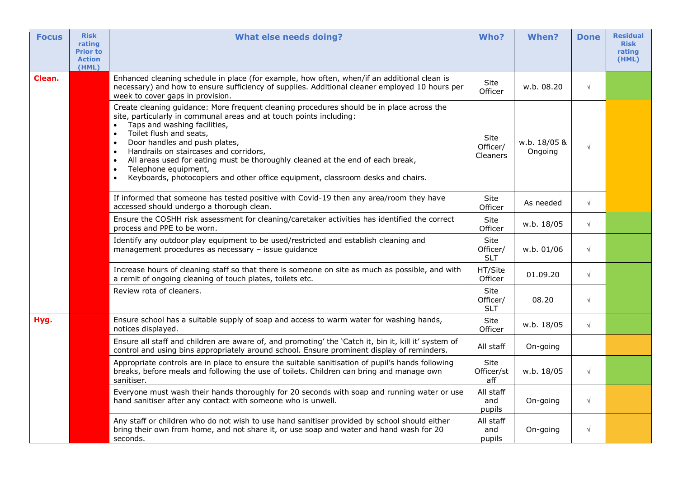| <b>Focus</b> | <b>Risk</b><br>rating<br><b>Prior to</b><br><b>Action</b><br>(HML) | <b>What else needs doing?</b>                                                                                                                                                                                                                                                                                                                                                                                                                                                                                                                                                     | Who?                                | When?                   | <b>Done</b> | <b>Residual</b><br><b>Risk</b><br>rating<br>(HML) |
|--------------|--------------------------------------------------------------------|-----------------------------------------------------------------------------------------------------------------------------------------------------------------------------------------------------------------------------------------------------------------------------------------------------------------------------------------------------------------------------------------------------------------------------------------------------------------------------------------------------------------------------------------------------------------------------------|-------------------------------------|-------------------------|-------------|---------------------------------------------------|
| Clean.       |                                                                    | Enhanced cleaning schedule in place (for example, how often, when/if an additional clean is<br>necessary) and how to ensure sufficiency of supplies. Additional cleaner employed 10 hours per<br>week to cover gaps in provision.                                                                                                                                                                                                                                                                                                                                                 | Site<br>Officer                     | w.b. 08.20              | $\sqrt{ }$  |                                                   |
|              |                                                                    | Create cleaning guidance: More frequent cleaning procedures should be in place across the<br>site, particularly in communal areas and at touch points including:<br>Taps and washing facilities,<br>$\bullet$<br>Toilet flush and seats,<br>$\bullet$<br>Door handles and push plates,<br>$\bullet$<br>Handrails on staircases and corridors,<br>All areas used for eating must be thoroughly cleaned at the end of each break,<br>$\bullet$<br>Telephone equipment,<br>$\bullet$<br>Keyboards, photocopiers and other office equipment, classroom desks and chairs.<br>$\bullet$ | Site<br>Officer/<br><b>Cleaners</b> | w.b. 18/05 &<br>Ongoing | $\sqrt{ }$  |                                                   |
|              |                                                                    | If informed that someone has tested positive with Covid-19 then any area/room they have<br>accessed should undergo a thorough clean.                                                                                                                                                                                                                                                                                                                                                                                                                                              | Site<br>Officer                     | As needed               | $\sqrt{ }$  |                                                   |
|              |                                                                    | Ensure the COSHH risk assessment for cleaning/caretaker activities has identified the correct<br>process and PPE to be worn.                                                                                                                                                                                                                                                                                                                                                                                                                                                      | Site<br>Officer                     | w.b. 18/05              | $\sqrt{ }$  |                                                   |
|              |                                                                    | Identify any outdoor play equipment to be used/restricted and establish cleaning and<br>management procedures as necessary - issue guidance                                                                                                                                                                                                                                                                                                                                                                                                                                       | Site<br>Officer/<br><b>SLT</b>      | w.b. 01/06              | $\sqrt{ }$  |                                                   |
|              |                                                                    | Increase hours of cleaning staff so that there is someone on site as much as possible, and with<br>a remit of ongoing cleaning of touch plates, toilets etc.                                                                                                                                                                                                                                                                                                                                                                                                                      | HT/Site<br>Officer                  | 01.09.20                | $\sqrt{ }$  |                                                   |
|              |                                                                    | Review rota of cleaners.                                                                                                                                                                                                                                                                                                                                                                                                                                                                                                                                                          | Site<br>Officer/<br><b>SLT</b>      | 08.20                   | $\sqrt{}$   |                                                   |
| Hyg.         |                                                                    | Ensure school has a suitable supply of soap and access to warm water for washing hands,<br>notices displayed.                                                                                                                                                                                                                                                                                                                                                                                                                                                                     | Site<br>Officer                     | w.b. 18/05              | $\sqrt{}$   |                                                   |
|              |                                                                    | Ensure all staff and children are aware of, and promoting' the 'Catch it, bin it, kill it' system of<br>control and using bins appropriately around school. Ensure prominent display of reminders.                                                                                                                                                                                                                                                                                                                                                                                | All staff                           | On-going                |             |                                                   |
|              |                                                                    | Appropriate controls are in place to ensure the suitable sanitisation of pupil's hands following<br>breaks, before meals and following the use of toilets. Children can bring and manage own<br>sanitiser.                                                                                                                                                                                                                                                                                                                                                                        | Site<br>Officer/st<br>aff           | w.b. 18/05              | $\sqrt{}$   |                                                   |
|              |                                                                    | Everyone must wash their hands thoroughly for 20 seconds with soap and running water or use<br>hand sanitiser after any contact with someone who is unwell.                                                                                                                                                                                                                                                                                                                                                                                                                       | All staff<br>and<br>pupils          | On-going                | $\sqrt{ }$  |                                                   |
|              |                                                                    | Any staff or children who do not wish to use hand sanitiser provided by school should either<br>bring their own from home, and not share it, or use soap and water and hand wash for 20<br>seconds.                                                                                                                                                                                                                                                                                                                                                                               | All staff<br>and<br>pupils          | On-going                | $\sqrt{}$   |                                                   |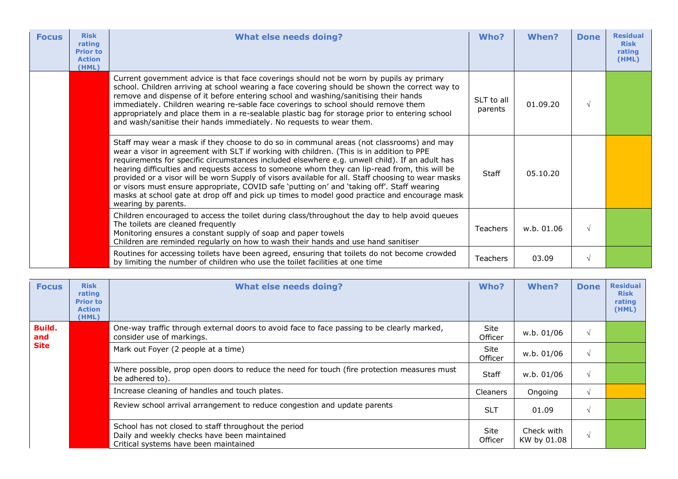| <b>Focus</b> | <b>Risk</b><br>rating<br><b>Prior to</b><br><b>Action</b><br>(HML) | <b>What else needs doing?</b>                                                                                                                                                                                                                                                                                                                                                                                                                                                                                                                                                                                                                                                                                     | Who?                  | When?      | <b>Done</b> | <b>Residual</b><br><b>Risk</b><br>rating<br>(HML) |
|--------------|--------------------------------------------------------------------|-------------------------------------------------------------------------------------------------------------------------------------------------------------------------------------------------------------------------------------------------------------------------------------------------------------------------------------------------------------------------------------------------------------------------------------------------------------------------------------------------------------------------------------------------------------------------------------------------------------------------------------------------------------------------------------------------------------------|-----------------------|------------|-------------|---------------------------------------------------|
|              |                                                                    | Current government advice is that face coverings should not be worn by pupils ay primary<br>school. Children arriving at school wearing a face covering should be shown the correct way to<br>remove and dispense of it before entering school and washing/sanitising their hands<br>immediately. Children wearing re-sable face coverings to school should remove them<br>appropriately and place them in a re-sealable plastic bag for storage prior to entering school<br>and wash/sanitise their hands immediately. No requests to wear them.                                                                                                                                                                 | SLT to all<br>parents | 01.09.20   | $\sqrt{ }$  |                                                   |
|              |                                                                    | Staff may wear a mask if they choose to do so in communal areas (not classrooms) and may<br>wear a visor in agreement with SLT if working with children. (This is in addition to PPE<br>requirements for specific circumstances included elsewhere e.g. unwell child). If an adult has<br>hearing difficulties and requests access to someone whom they can lip-read from, this will be<br>provided or a visor will be worn Supply of visors available for all. Staff choosing to wear masks<br>or visors must ensure appropriate, COVID safe 'putting on' and 'taking off'. Staff wearing<br>masks at school gate at drop off and pick up times to model good practice and encourage mask<br>wearing by parents. | Staff                 | 05.10.20   |             |                                                   |
|              |                                                                    | Children encouraged to access the toilet during class/throughout the day to help avoid queues<br>The toilets are cleaned frequently<br>Monitoring ensures a constant supply of soap and paper towels<br>Children are reminded regularly on how to wash their hands and use hand sanitiser                                                                                                                                                                                                                                                                                                                                                                                                                         | <b>Teachers</b>       | w.b. 01.06 | $\sqrt{ }$  |                                                   |
|              |                                                                    | Routines for accessing toilets have been agreed, ensuring that toilets do not become crowded<br>by limiting the number of children who use the toilet facilities at one time                                                                                                                                                                                                                                                                                                                                                                                                                                                                                                                                      | <b>Teachers</b>       | 03.09      | $\sqrt{ }$  |                                                   |

| <b>Focus</b>                 | <b>Risk</b><br>rating<br><b>Prior to</b><br><b>Action</b><br>(HML) | <b>What else needs doing?</b>                                                                                                                 | Who?                   | <b>When?</b>              | <b>Done</b> | <b>Residual</b><br><b>Risk</b><br>rating<br>(HML) |
|------------------------------|--------------------------------------------------------------------|-----------------------------------------------------------------------------------------------------------------------------------------------|------------------------|---------------------------|-------------|---------------------------------------------------|
| Build.<br>and<br><b>Site</b> |                                                                    | One-way traffic through external doors to avoid face to face passing to be clearly marked,<br>consider use of markings.                       | Site<br>Officer        | w.b. 01/06                | $\gamma$    |                                                   |
|                              |                                                                    | Mark out Foyer (2 people at a time)                                                                                                           | <b>Site</b><br>Officer | w.b. 01/06                | $\sim$      |                                                   |
|                              |                                                                    | Where possible, prop open doors to reduce the need for touch (fire protection measures must<br>be adhered to).                                | Staff                  | w.b. 01/06                | $\gamma$    |                                                   |
|                              |                                                                    | Increase cleaning of handles and touch plates.                                                                                                | <b>Cleaners</b>        | Ongoing                   |             |                                                   |
|                              |                                                                    | Review school arrival arrangement to reduce congestion and update parents                                                                     | <b>SLT</b>             | 01.09                     | $\lambda$   |                                                   |
|                              |                                                                    | School has not closed to staff throughout the period<br>Daily and weekly checks have been maintained<br>Critical systems have been maintained | Site<br>Officer        | Check with<br>KW by 01.08 | $\lambda$   |                                                   |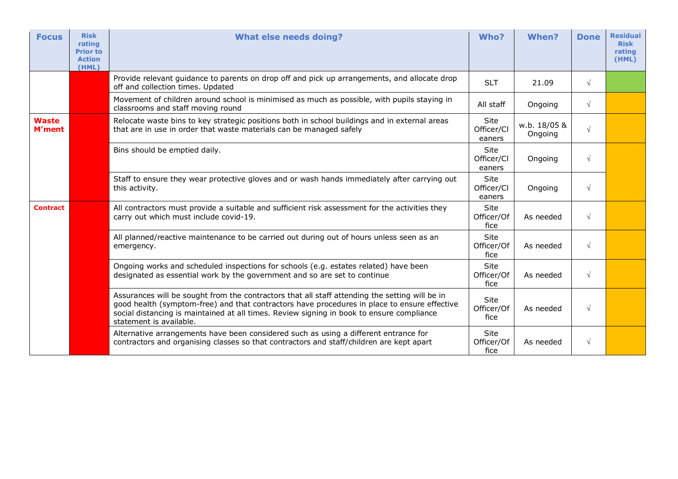| <b>Focus</b>                  | <b>Risk</b><br>rating<br><b>Prior to</b><br><b>Action</b><br>(HML) | <b>What else needs doing?</b>                                                                                                                                                                                                                                                                                          | Who?                         | When?                   | <b>Done</b> | <b>Residual</b><br><b>Risk</b><br>rating<br>(HML) |
|-------------------------------|--------------------------------------------------------------------|------------------------------------------------------------------------------------------------------------------------------------------------------------------------------------------------------------------------------------------------------------------------------------------------------------------------|------------------------------|-------------------------|-------------|---------------------------------------------------|
|                               |                                                                    | Provide relevant guidance to parents on drop off and pick up arrangements, and allocate drop<br>off and collection times. Updated                                                                                                                                                                                      | <b>SLT</b>                   | 21.09                   | $\sqrt{ }$  |                                                   |
|                               |                                                                    | Movement of children around school is minimised as much as possible, with pupils staying in<br>classrooms and staff moving round                                                                                                                                                                                       | All staff                    | Ongoing                 | $\sqrt{ }$  |                                                   |
| <b>Waste</b><br><b>M'ment</b> |                                                                    | Relocate waste bins to key strategic positions both in school buildings and in external areas<br>that are in use in order that waste materials can be managed safely                                                                                                                                                   | Site<br>Officer/Cl<br>eaners | w.b. 18/05 &<br>Ongoing | $\sqrt{ }$  |                                                   |
|                               |                                                                    | Bins should be emptied daily.                                                                                                                                                                                                                                                                                          | Site<br>Officer/Cl<br>eaners | Ongoing                 | $\sqrt{ }$  |                                                   |
|                               |                                                                    | Staff to ensure they wear protective gloves and or wash hands immediately after carrying out<br>this activity.                                                                                                                                                                                                         | Site<br>Officer/Cl<br>eaners | Ongoing                 | $\sqrt{ }$  |                                                   |
| <b>Contract</b>               |                                                                    | All contractors must provide a suitable and sufficient risk assessment for the activities they<br>carry out which must include covid-19.                                                                                                                                                                               | Site<br>Officer/Of<br>fice   | As needed               | $\sqrt{ }$  |                                                   |
|                               |                                                                    | All planned/reactive maintenance to be carried out during out of hours unless seen as an<br>emergency.                                                                                                                                                                                                                 | Site<br>Officer/Of<br>fice   | As needed               | $\sqrt{ }$  |                                                   |
|                               |                                                                    | Ongoing works and scheduled inspections for schools (e.g. estates related) have been<br>designated as essential work by the government and so are set to continue                                                                                                                                                      | Site<br>Officer/Of<br>fice   | As needed               | $\sqrt{ }$  |                                                   |
|                               |                                                                    | Assurances will be sought from the contractors that all staff attending the setting will be in<br>good health (symptom-free) and that contractors have procedures in place to ensure effective<br>social distancing is maintained at all times. Review signing in book to ensure compliance<br>statement is available. | Site<br>Officer/Of<br>fice   | As needed               | $\sqrt{ }$  |                                                   |
|                               |                                                                    | Alternative arrangements have been considered such as using a different entrance for<br>contractors and organising classes so that contractors and staff/children are kept apart                                                                                                                                       | Site<br>Officer/Of<br>fice   | As needed               | $\sqrt{ }$  |                                                   |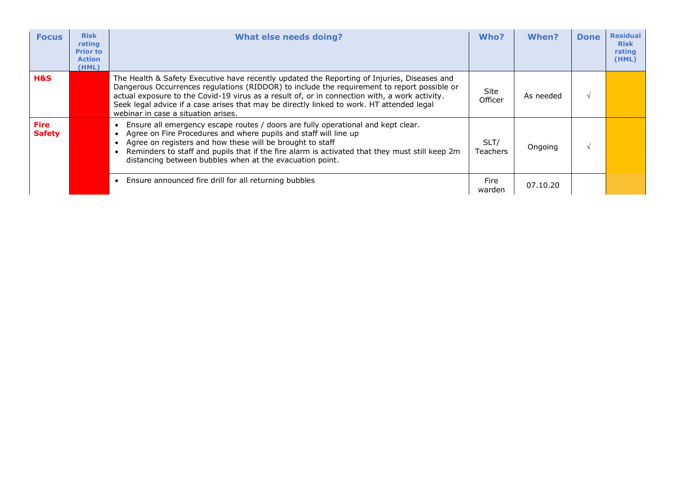| <b>Focus</b>                 | <b>Risk</b><br>rating<br><b>Prior to</b><br><b>Action</b><br>(HML) | What else needs doing?                                                                                                                                                                                                                                                                                                                                                                                                          | Who?                   | When?     | <b>Done</b> | <b>Residual</b><br><b>Risk</b><br>rating<br>(HML) |
|------------------------------|--------------------------------------------------------------------|---------------------------------------------------------------------------------------------------------------------------------------------------------------------------------------------------------------------------------------------------------------------------------------------------------------------------------------------------------------------------------------------------------------------------------|------------------------|-----------|-------------|---------------------------------------------------|
| H&S                          |                                                                    | The Health & Safety Executive have recently updated the Reporting of Injuries, Diseases and<br>Dangerous Occurrences regulations (RIDDOR) to include the requirement to report possible or<br>actual exposure to the Covid-19 virus as a result of, or in connection with, a work activity.<br>Seek legal advice if a case arises that may be directly linked to work. HT attended legal<br>webinar in case a situation arises. | <b>Site</b><br>Officer | As needed |             |                                                   |
| <b>Fire</b><br><b>Safety</b> |                                                                    | Ensure all emergency escape routes / doors are fully operational and kept clear.<br>Agree on Fire Procedures and where pupils and staff will line up<br>Agree on registers and how these will be brought to staff<br>Reminders to staff and pupils that if the fire alarm is activated that they must still keep 2m<br>distancing between bubbles when at the evacuation point.                                                 | SLT/<br>Teachers       | Ongoing   | $\Delta$    |                                                   |
|                              |                                                                    | Ensure announced fire drill for all returning bubbles<br>$\bullet$                                                                                                                                                                                                                                                                                                                                                              | Fire<br>warden         | 07.10.20  |             |                                                   |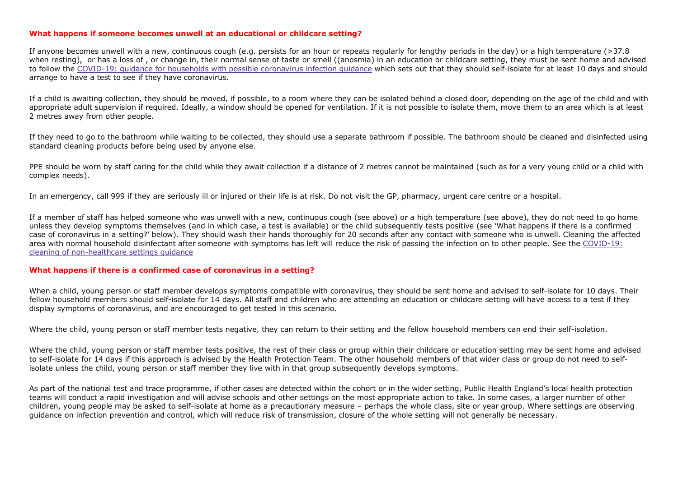## **What happens if someone becomes unwell at an educational or childcare setting?**

If anyone becomes unwell with a new, continuous cough (e.g. persists for an hour or repeats regularly for lengthy periods in the day) or a high temperature (>37.8 when resting), or has a loss of, or change in, their normal sense of taste or smell ((anosmia) in an education or childcare setting, they must be sent home and advised to follow the COVID-19: guidance for households with possible coronavirus infection guidance which sets out that they should self-isolate for at least 10 days and should arrange to have a test to see if they have coronavirus.

If a child is awaiting collection, they should be moved, if possible, to a room where they can be isolated behind a closed door, depending on the age of the child and with appropriate adult supervision if required. Ideally, a window should be opened for ventilation. If it is not possible to isolate them, move them to an area which is at least 2 metres away from other people.

If they need to go to the bathroom while waiting to be collected, they should use a separate bathroom if possible. The bathroom should be cleaned and disinfected using standard cleaning products before being used by anyone else.

PPE should be worn by staff caring for the child while they await collection if a distance of 2 metres cannot be maintained (such as for a very young child or a child with complex needs).

In an emergency, call 999 if they are seriously ill or injured or their life is at risk. Do not visit the GP, pharmacy, urgent care centre or a hospital.

If a member of staff has helped someone who was unwell with a new, continuous cough (see above) or a high temperature (see above), they do not need to go home unless they develop symptoms themselves (and in which case, a test is available) or the child subsequently tests positive (see 'What happens if there is a confirmed case of coronavirus in a setting?' below). They should wash their hands thoroughly for 20 seconds after any contact with someone who is unwell. Cleaning the affected area with normal household disinfectant after someone with symptoms has left will reduce the risk of passing the infection on to other people. See the COVID-19: cleaning of non-healthcare settings guidance

## **What happens if there is a confirmed case of coronavirus in a setting?**

When a child, young person or staff member develops symptoms compatible with coronavirus, they should be sent home and advised to self-isolate for 10 days. Their fellow household members should self-isolate for 14 days. All staff and children who are attending an education or childcare setting will have access to a test if they display symptoms of coronavirus, and are encouraged to get tested in this scenario.

Where the child, young person or staff member tests negative, they can return to their setting and the fellow household members can end their self-isolation.

Where the child, young person or staff member tests positive, the rest of their class or group within their childcare or education setting may be sent home and advised to self-isolate for 14 days if this approach is advised by the Health Protection Team. The other household members of that wider class or group do not need to selfisolate unless the child, young person or staff member they live with in that group subsequently develops symptoms.

As part of the national test and trace programme, if other cases are detected within the cohort or in the wider setting, Public Health England's local health protection teams will conduct a rapid investigation and will advise schools and other settings on the most appropriate action to take. In some cases, a larger number of other children, young people may be asked to self-isolate at home as a precautionary measure – perhaps the whole class, site or year group. Where settings are observing guidance on infection prevention and control, which will reduce risk of transmission, closure of the whole setting will not generally be necessary.